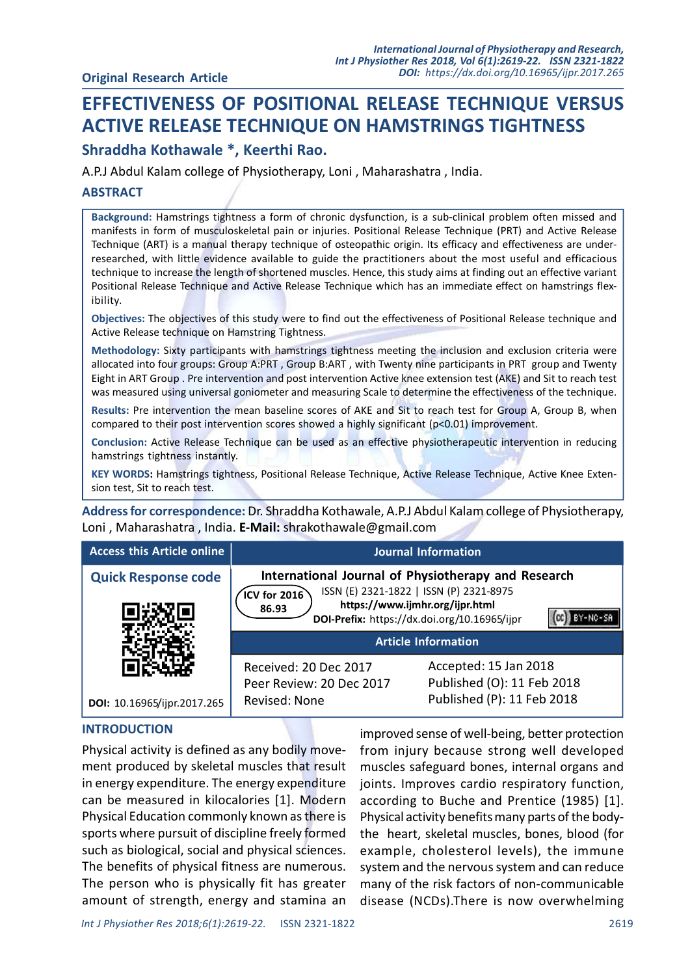# EFFECTIVENESS OF POSITIONAL RELEASE TECHNIQUE VERSUS ACTIVE RELEASE TECHNIQUE ON HAMSTRINGS TIGHTNESS

# Shraddha Kothawale \*, Keerthi Rao.

A.P.J Abdul Kalam college of Physiotherapy, Loni , Maharashatra , India.

### **ABSTRACT**

Background: Hamstrings tightness a form of chronic dysfunction, is a sub-clinical problem often missed and manifests in form of musculoskeletal pain or injuries. Positional Release Technique (PRT) and Active Release Technique (ART) is a manual therapy technique of osteopathic origin. Its efficacy and effectiveness are underresearched, with little evidence available to guide the practitioners about the most useful and efficacious technique to increase the length of shortened muscles. Hence, this study aims at finding out an effective variant Positional Release Technique and Active Release Technique which has an immediate effect on hamstrings flexibility.

Objectives: The objectives of this study were to find out the effectiveness of Positional Release technique and Active Release technique on Hamstring Tightness.

Methodology: Sixty participants with hamstrings tightness meeting the inclusion and exclusion criteria were allocated into four groups: Group A:PRT , Group B:ART , with Twenty nine participants in PRT group and Twenty Eight in ART Group . Pre intervention and post intervention Active knee extension test (AKE) and Sit to reach test was measured using universal goniometer and measuring Scale to determine the effectiveness of the technique.

Results: Pre intervention the mean baseline scores of AKE and Sit to reach test for Group A, Group B, when compared to their post intervention scores showed a highly significant (p<0.01) improvement.

Conclusion: Active Release Technique can be used as an effective physiotherapeutic intervention in reducing hamstrings tightness instantly.

KEY WORDS: Hamstrings tightness, Positional Release Technique, Active Release Technique, Active Knee Extension test, Sit to reach test.

Address for correspondence: Dr. Shraddha Kothawale, A.P.J Abdul Kalam college of Physiotherapy, Loni , Maharashatra , India. E-Mail: shrakothawale@gmail.com

| <b>Access this Article online</b> |                                                                    | <b>Journal Information</b>                                                                                                                                                                                      |
|-----------------------------------|--------------------------------------------------------------------|-----------------------------------------------------------------------------------------------------------------------------------------------------------------------------------------------------------------|
| <b>Quick Response code</b>        | $ICV$ for 2016<br>86.93                                            | International Journal of Physiotherapy and Research<br>ISSN (E) 2321-1822   ISSN (P) 2321-8975<br>https://www.ijmhr.org/ijpr.html<br>DOI-Prefix: https://dx.doi.org/10.16965/ijpr<br><b>Article Information</b> |
| DOI: 10.16965/ijpr.2017.265       | Received: 20 Dec 2017<br>Peer Review: 20 Dec 2017<br>Revised: None | Accepted: 15 Jan 2018<br>Published (O): 11 Feb 2018<br>Published (P): 11 Feb 2018                                                                                                                               |

#### INTRODUCTION

Physical activity is defined as any bodily movement produced by skeletal muscles that result in energy expenditure. The energy expenditure can be measured in kilocalories [1]. Modern Physical Education commonly known as there is sports where pursuit of discipline freely formed such as biological, social and physical sciences. The benefits of physical fitness are numerous. The person who is physically fit has greater amount of strength, energy and stamina an improved sense of well-being, better protection from injury because strong well developed muscles safeguard bones, internal organs and joints. Improves cardio respiratory function, according to Buche and Prentice (1985) [1]. Physical activity benefits many parts of the bodythe heart, skeletal muscles, bones, blood (for example, cholesterol levels), the immune system and the nervous system and can reduce many of the risk factors of non-communicable disease (NCDs).There is now overwhelming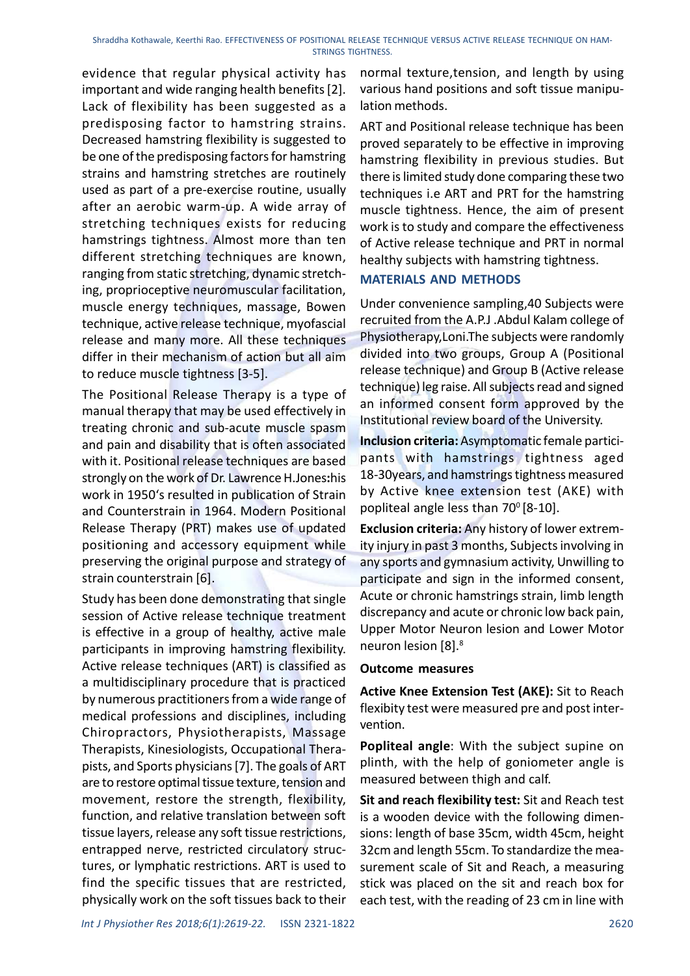evidence that regular physical activity has important and wide ranging health benefits [2]. Lack of flexibility has been suggested as a predisposing factor to hamstring strains. Decreased hamstring flexibility is suggested to be one of the predisposing factors for hamstring strains and hamstring stretches are routinely used as part of a pre-exercise routine, usually after an aerobic warm-up. A wide array of stretching techniques exists for reducing hamstrings tightness. Almost more than ten different stretching techniques are known, ranging from static stretching, dynamic stretching, proprioceptive neuromuscular facilitation, muscle energy techniques, massage, Bowen technique, active release technique, myofascial release and many more. All these techniques differ in their mechanism of action but all aim to reduce muscle tightness [3-5].

The Positional Release Therapy is a type of manual therapy that may be used effectively in treating chronic and sub-acute muscle spasm and pain and disability that is often associated with it. Positional release techniques are based strongly on the work of Dr. Lawrence H.Jones:his work in 1950's resulted in publication of Strain and Counterstrain in 1964. Modern Positional Release Therapy (PRT) makes use of updated positioning and accessory equipment while preserving the original purpose and strategy of strain counterstrain [6].

Study has been done demonstrating that single session of Active release technique treatment is effective in a group of healthy, active male participants in improving hamstring flexibility. Active release techniques (ART) is classified as a multidisciplinary procedure that is practiced by numerous practitioners from a wide range of medical professions and disciplines, including Chiropractors, Physiotherapists, Massage Therapists, Kinesiologists, Occupational Therapists, and Sports physicians [7]. The goals of ART are to restore optimal tissue texture, tension and movement, restore the strength, flexibility, function, and relative translation between soft tissue layers, release any soft tissue restrictions, entrapped nerve, restricted circulatory structures, or lymphatic restrictions. ART is used to find the specific tissues that are restricted, physically work on the soft tissues back to their

normal texture,tension, and length by using various hand positions and soft tissue manipulation methods.

ART and Positional release technique has been proved separately to be effective in improving hamstring flexibility in previous studies. But there is limited study done comparing these two techniques i.e ART and PRT for the hamstring muscle tightness. Hence, the aim of present work is to study and compare the effectiveness of Active release technique and PRT in normal healthy subjects with hamstring tightness.

### MATERIALS AND METHODS

Under convenience sampling,40 Subjects were recruited from the A.P.J .Abdul Kalam college of Physiotherapy,Loni.The subjects were randomly divided into two groups, Group A (Positional release technique) and Group B (Active release technique) leg raise. All subjects read and signed an informed consent form approved by the Institutional review board of the University.

Inclusion criteria: Asymptomatic female participants with hamstrings tightness aged 18-30years, and hamstrings tightness measured by Active knee extension test (AKE) with popliteal angle less than  $70^{\circ}$  [8-10].

Exclusion criteria: Any history of lower extremity injury in past 3 months, Subjects involving in any sports and gymnasium activity, Unwilling to participate and sign in the informed consent, Acute or chronic hamstrings strain, limb length discrepancy and acute or chronic low back pain, Upper Motor Neuron lesion and Lower Motor neuron lesion [8].<sup>8</sup>

### Outcome measures

Active Knee Extension Test (AKE): Sit to Reach flexibity test were measured pre and post intervention.

Popliteal angle: With the subject supine on plinth, with the help of goniometer angle is measured between thigh and calf.

Sit and reach flexibility test: Sit and Reach test is a wooden device with the following dimensions: length of base 35cm, width 45cm, height 32cm and length 55cm. To standardize the measurement scale of Sit and Reach, a measuring stick was placed on the sit and reach box for each test, with the reading of 23 cm in line with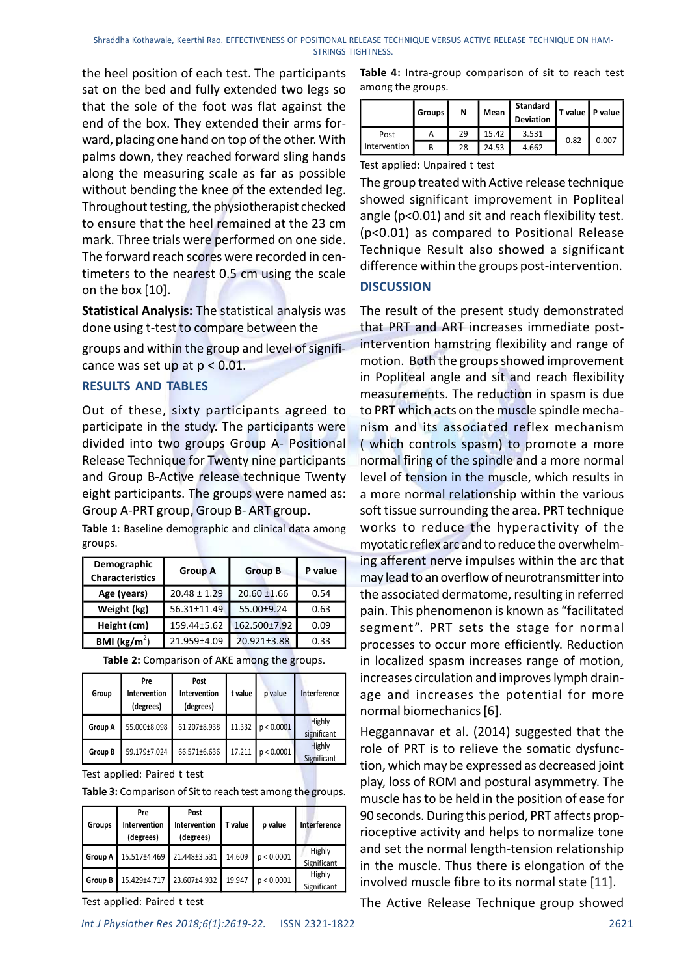Shraddha Kothawale, Keerthi Rao. EFFECTIVENESS OF POSITIONAL RELEASE TECHNIQUE VERSUS ACTIVE RELEASE TECHNIQUE ON HAM-STRINGS TIGHTNESS.

the heel position of each test. The participants sat on the bed and fully extended two legs so that the sole of the foot was flat against the end of the box. They extended their arms forward, placing one hand on top of the other. With palms down, they reached forward sling hands along the measuring scale as far as possible without bending the knee of the extended leg. Throughout testing, the physiotherapist checked to ensure that the heel remained at the 23 cm mark. Three trials were performed on one side. The forward reach scores were recorded in centimeters to the nearest 0.5 cm using the scale on the box [10].

Statistical Analysis: The statistical analysis was done using t-test to compare between the

groups and within the group and level of significance was set up at  $p < 0.01$ .

#### RESULTS AND TABLES

Out of these, sixty participants agreed to participate in the study. The participants were divided into two groups Group A- Positional Release Technique for Twenty nine participants and Group B-Active release technique Twenty eight participants. The groups were named as: Group A-PRT group, Group B- ART group.

Table 1: Baseline demographic and clinical data among groups.

| Demographic<br><b>Characteristics</b> | <b>Group A</b>   | <b>Group B</b> | P value |
|---------------------------------------|------------------|----------------|---------|
| Age (years)                           | $20.48 \pm 1.29$ | $20.60 + 1.66$ | 0.54    |
| Weight (kg)                           | 56.31±11.49      | 55.00±9.24     | 0.63    |
| Height (cm)                           | 159.44±5.62      | 162.500±7.92   | 0.09    |
| BMI $(kg/m^2)$                        | 21.959±4.09      | 20.921±3.88    | 0.33    |

| Group   | Pre<br>Intervention<br>(degrees) | Post<br>Intervention<br>(degrees) | t value | p value             | Interference                 |
|---------|----------------------------------|-----------------------------------|---------|---------------------|------------------------------|
| Group A | 55.000±8.098                     | 61.207±8.938                      |         | 11.332 $p < 0.0001$ | Highly<br>significant        |
| Group B | 59.179±7.024                     | 66.571±6.636                      |         | 17.211 $p < 0.0001$ | <b>Highly</b><br>Significant |

Table 2: Comparison of AKE among the groups.

Test applied: Paired t test

Table 3: Comparison of Sit to reach test among the groups.

| Groups      | Pre<br>Intervention<br>(degrees) | Post<br>Intervention<br>(degrees) | T value | p value    | Interference          |
|-------------|----------------------------------|-----------------------------------|---------|------------|-----------------------|
| l Group A l | 15.517±4.469                     | 21.448±3.531                      | 14.609  | p < 0.0001 | Highly<br>Significant |
| Group B     |                                  | 15.429±4.717 23.607±4.932         | 19.947  | p < 0.0001 | Highly<br>Significant |

Test applied: Paired t test

| LEASE TECHNIQUE VERSUS ACTIVE RELEASE TECHNIQUE ON HAM-<br><b>GHTNESS.</b><br>Table 4: Intra-group comparison of sit to reach test<br>among the groups. |        |    |       | <b>Standard</b>                            |         |                 |
|---------------------------------------------------------------------------------------------------------------------------------------------------------|--------|----|-------|--------------------------------------------|---------|-----------------|
|                                                                                                                                                         | Groups | N  | Mean  | Deviation                                  |         | T value P value |
| Post                                                                                                                                                    | A      | 29 | 15.42 | 3.531                                      | $-0.82$ | 0.007           |
| Intervention                                                                                                                                            | B      | 28 | 24.53 | 4.662                                      |         |                 |
| Test applied: Unpaired t test                                                                                                                           |        |    |       |                                            |         |                 |
| The group treated with Active release technique                                                                                                         |        |    |       |                                            |         |                 |
| showed significant improvement in Popliteal                                                                                                             |        |    |       |                                            |         |                 |
| angle (p<0.01) and sit and reach flexibility test.                                                                                                      |        |    |       |                                            |         |                 |
|                                                                                                                                                         |        |    |       | (nc0.01) as compared to Positional Release |         |                 |

The group treated with Active release technique showed significant improvement in Popliteal angle (p<0.01) and sit and reach flexibility test. (p<0.01) as compared to Positional Release Technique Result also showed a significant difference within the groups post-intervention.

#### **DISCUSSION**

tistical Analysis: The statistical analysis was The result of the present study demonstrated<br>
nust these simme between the<br>
unspired and AFR and AFR and AFR increases immediate post-<br>
unspired and the propose and level of ne using t-test to compare between the<br>
the PTF and ART increases immediate post-<br>
tore was set up a for  $> 0.01$ .<br>
SULTS AND TABLES<br>
SULTS AND TABLES<br>
to these, sixty participants agreed to to PRT which acts on the muscl Nups and within the group and level of signifiarite metrod hamstring flexibility and range of<br>
nee was set up at p < 0.01. Intervention happed and in propiliteal angle and sit and reach flexibility<br>
to these, sixty partic We the group and every is spinted in Popliteal angle and sit and reach flexibility<br>
WD TABLES<br>
in Popliteal angle and sit and reach flexibility<br>
ND TABLES<br>
Sexty participants agreed to to PRT which acts on the muscle spin by the box [10].<br>
IDISCUSSION<br>
IDISCUSSION<br>
Intersection and the present study demonstrated<br>
ougs and within the group and level of signifi-<br>
intervention hamstring flexibility and range of<br>
nexus and within the group and ivided into two groups Group A-Positional (which controls spasm) to promote a more elected<br>rechnique for Twenty inne participants normal fring of the spindle and a more normal<br>elected rechnique Twenty level of tension in erection the prioriton of the prioriton in the matrix of the simulation of the simulation of the simulation of the simulation of the simulation of the simulation of the simulation of the simulation of the simulation of th Let of these, sixty participants agreed to to PRT which acts on the muscle spindle mechanization is the participants were nism and its associated reflex mechanism<br>vided into two groups Group A-Positional (which controls s tvalue pvalue | Interference | age and increases the potential for more Groups p value Interference The result of the present study demonstrated that PRT and ART increases immediate postintervention hamstring flexibility and range of motion. Both the groups showed improvement in Popliteal angle and sit and reach flexibility measurements. The reduction in spasm is due to PRT which acts on the muscle spindle mechanism and its associated reflex mechanism ( which controls spasm) to promote a more normal firing of the spindle and a more normal level of tension in the muscle, which results in a more normal relationship within the various soft tissue surrounding the area. PRT technique works to reduce the hyperactivity of the myotatic reflex arc and to reduce the overwhelming afferent nerve impulses within the arc that may lead to an overflow of neurotransmitter into the associated dermatome, resulting in referred pain. This phenomenon is known as "facilitated segment". PRT sets the stage for normal processes to occur more efficiently. Reduction in localized spasm increases range of motion, increases circulation and improves lymph drainnormal biomechanics [6].

significant Heggannavar et al. (2014) suggested that the Significant 1 tion, which may be expressed as decreased joint Undergrap (Society A 15.311.149) 20.631.152.12.531 14.89<br>
Megitigating (meterior (methanic content and the state of the state of the state of the content and the state of the telection of the telection of the telection of  $\frac{\text{Significant}}{\text{String}}$  in the muscle. Thus there is elongation of the **Age (years)**  $20.48 ± 1.29$   $20.60 ± 1.69$   $5.92 ± 1.29$   $20.60 ± 1.66$   $5.92 ± 1.29$   $20.92 ± 3.68$   $5.92 ± 0.92 + 2.29$  **Example 15.51.1449**<br> **Example 15.9445.52** 19.55.2009/2.142.838 0.33<br> **Example 16.9 Example 16.94 Exam**  $\frac{S_{\text{ignified}}}{S_{\text{ignified}}}$  involved muscle fibre to its normal state [11]. Tvalue | pvalue | Interference | rioceptive activity and helps to normalize tone role of PRT is to relieve the somatic dysfuncplay, loss of ROM and postural asymmetry. The muscle has to be held in the position of ease for 90 seconds. During this period, PRT affects propand set the normal length-tension relationship

The Active Release Technique group showed